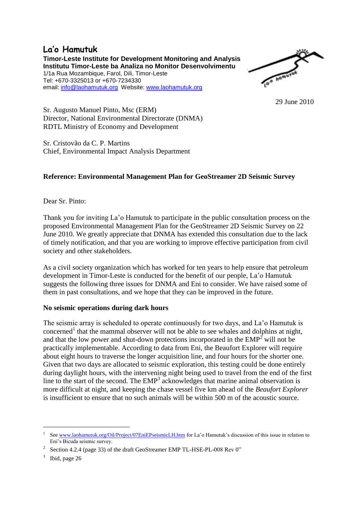# **La'o Hamutuk**

**Timor-Leste Institute for Development Monitoring and Analysis Institutu Timor-Leste ba Analiza no Monitor Desenvolvimentu** 1/1a Rua Mozambique, Farol, Dili, Timor-Leste Tel: +670-3325013 or +670-7234330 email: [info@laohamutuk.org](mailto:info@laohamutuk.org) Website: [www.laohamutuk.org](http://www.laohamutuk.org/)



29 June 2010

Sr. Augusto Manuel Pinto, Msc (ERM) Director, National Environmental Directorate (DNMA) RDTL Ministry of Economy and Development

Sr. Cristovão da C. P. Martins Chief, Environmental Impact Analysis Department

## **Reference: Environmental Management Plan for GeoStreamer 2D Seismic Survey**

Dear Sr. Pinto:

Thank you for inviting La'o Hamutuk to participate in the public consultation process on the proposed Environmental Management Plan for the GeoStreamer 2D Seismic Survey on 22 June 2010. We greatly appreciate that DNMA has extended this consultation due to the lack of timely notification, and that you are working to improve effective participation from civil society and other stakeholders.

As a civil society organization which has worked for ten years to help ensure that petroleum development in Timor-Leste is conducted for the benefit of our people, La'o Hamutuk suggests the following three issues for DNMA and Eni to consider. We have raised some of them in past consultations, and we hope that they can be improved in the future.

#### **No seismic operations during dark hours**

The seismic array is scheduled to operate continuously for two days, and La'o Hamutuk is concerned<sup>1</sup> that the mammal observer will not be able to see whales and dolphins at night, and that the low power and shut-down protections incorporated in the  $EMP<sup>2</sup>$  will not be practically implementable. According to data from Eni, the Beaufort Explorer will require about eight hours to traverse the longer acquisition line, and four hours for the shorter one. Given that two days are allocated to seismic exploration, this testing could be done entirely during daylight hours, with the intervening night being used to travel from the end of the first line to the start of the second. The EMP<sup>3</sup> acknowledges that marine animal observation is more difficult at night, and keeping the chase vessel five km ahead of the *Beaufort Explorer* is insufficient to ensure that no such animals will be within 500 m of the acoustic source.

**.** 

<sup>1</sup> Se[e www.laohamutuk.org/Oil/Project/07EniEPseismicLH.htm](http://www.laohamutuk.org/Oil/Project/07EniEPseismicLH.htm) for La'o Hamutuk's discussion of this issue in relation to Eni's Bicuda seismic survey.

<sup>2</sup> Section 4.2.4 (page 33) of the draft GeoStreamer EMP TL-HSE-PL-008 Rev 0"

<sup>3</sup> Ibid, page 26